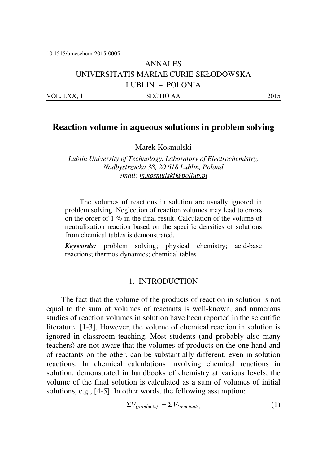# ANNALES UNIVERSITATIS MARIAE CURIE-SKŁODOWSKA LUBLIN – POLONIA VOL. LXX, 1 SECTIO AA 2015

# **Reaction volume in aqueous solutions in problem solving**

Marek Kosmulski

*Lublin University of Technology, Laboratory of Electrochemistry, Nadbystrzycka 38, 20 618 Lublin, Poland email: m.kosmulski@pollub.pl* 

The volumes of reactions in solution are usually ignored in problem solving. Neglection of reaction volumes may lead to errors on the order of 1 % in the final result. Calculation of the volume of neutralization reaction based on the specific densities of solutions from chemical tables is demonstrated.

*Keywords:* problem solving; physical chemistry; acid-base reactions; thermos-dynamics; chemical tables

### 1. INTRODUCTION

The fact that the volume of the products of reaction in solution is not equal to the sum of volumes of reactants is well-known, and numerous studies of reaction volumes in solution have been reported in the scientific literature [1-3]. However, the volume of chemical reaction in solution is ignored in classroom teaching. Most students (and probably also many teachers) are not aware that the volumes of products on the one hand and of reactants on the other, can be substantially different, even in solution reactions. In chemical calculations involving chemical reactions in solution, demonstrated in handbooks of chemistry at various levels, the volume of the final solution is calculated as a sum of volumes of initial solutions, e.g., [4-5]. In other words, the following assumption:

$$
\Sigma V_{(products)} = \Sigma V_{(reactants)} \tag{1}
$$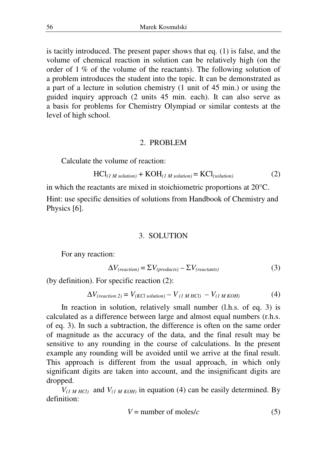is tacitly introduced. The present paper shows that eq. (1) is false, and the volume of chemical reaction in solution can be relatively high (on the order of  $1\%$  of the volume of the reactants). The following solution of a problem introduces the student into the topic. It can be demonstrated as a part of a lecture in solution chemistry (1 unit of 45 min.) or using the guided inquiry approach (2 units 45 min. each). It can also serve as a basis for problems for Chemistry Olympiad or similar contests at the level of high school.

#### 2. PROBLEM

Calculate the volume of reaction:

$$
HCl(1 M solution) + KOH(1 M solution) = KCl(solution)
$$
 (2)

in which the reactants are mixed in stoichiometric proportions at 20°C.

Hint: use specific densities of solutions from Handbook of Chemistry and Physics [6].

#### 3. SOLUTION

For any reaction:

$$
\Delta V_{(reaction)} = \Sigma V_{(products)} - \Sigma V_{(reactants)}
$$
\n(3)

(by definition). For specific reaction (2):

$$
\Delta V_{(reaction\ 2)} = V_{(KCl\ solution)} - V_{(1\,M\,HCl)} - V_{(1\,M\,KOH)} \tag{4}
$$

In reaction in solution, relatively small number (l.h.s. of eq. 3) is calculated as a difference between large and almost equal numbers (r.h.s. of eq. 3). In such a subtraction, the difference is often on the same order of magnitude as the accuracy of the data, and the final result may be sensitive to any rounding in the course of calculations. In the present example any rounding will be avoided until we arrive at the final result. This approach is different from the usual approach, in which only significant digits are taken into account, and the insignificant digits are dropped.

 $V_{(1 M HCl)}$  and  $V_{(1 M KOH)}$  in equation (4) can be easily determined. By definition:

$$
V = number of moles/c
$$
 (5)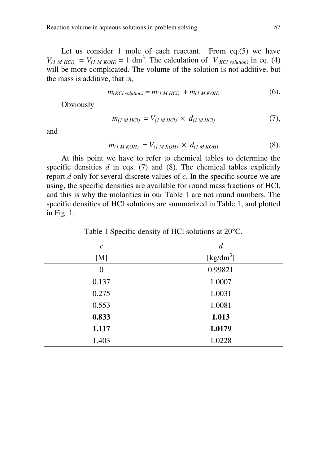Let us consider 1 mole of each reactant. From eq.(5) we have  $V_{(1 \text{ M HCl})} = V_{(1 \text{ M KOH})} = 1 \text{ dm}^3$ . The calculation of  $V_{(KCl solution)}$  in eq. (4) will be more complicated. The volume of the solution is not additive, but the mass is additive, that is,

$$
m_{(KCl\ solution)} = m_{(I\ M\ HCl)} + m_{(I\ M\ KOH)} \tag{6}.
$$

**Obviously** 

$$
m_{(1 M HCl)} = V_{(1 M HCl)} \times d_{(1 M HCl)} \tag{7}
$$

and

$$
m_{(1 \, M \, KOH)} = V_{(1 \, M \, KOH)} \times d_{(1 \, M \, KOH)} \tag{8}
$$

At this point we have to refer to chemical tables to determine the specific densities *d* in eqs. (7) and (8). The chemical tables explicitly report *d* only for several discrete values of *c*. In the specific source we are using, the specific densities are available for round mass fractions of HCl, and this is why the molarities in our Table 1 are not round numbers. The specific densities of HCl solutions are summarized in Table 1, and plotted in Fig. 1.

| $\mathcal C$ | $\overline{d}$        |
|--------------|-----------------------|
| [M]          | [kg/dm <sup>3</sup> ] |
| $\theta$     | 0.99821               |
| 0.137        | 1.0007                |
| 0.275        | 1.0031                |
| 0.553        | 1.0081                |
| 0.833        | 1.013                 |
| 1.117        | 1.0179                |
| 1.403        | 1.0228                |
|              |                       |

Table 1 Specific density of HCl solutions at 20°C.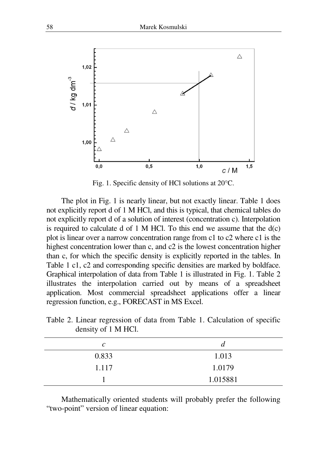

Fig. 1. Specific density of HCl solutions at 20°C.

The plot in Fig. 1 is nearly linear, but not exactly linear. Table 1 does not explicitly report d of 1 M HCl, and this is typical, that chemical tables do not explicitly report d of a solution of interest (concentration c). Interpolation is required to calculate d of 1 M HCl. To this end we assume that the  $d(c)$ plot is linear over a narrow concentration range from c1 to c2 where c1 is the highest concentration lower than c, and c2 is the lowest concentration higher than c, for which the specific density is explicitly reported in the tables. In Table 1 c1, c2 and corresponding specific densities are marked by boldface. Graphical interpolation of data from Table 1 is illustrated in Fig. 1. Table 2 illustrates the interpolation carried out by means of a spreadsheet application. Most commercial spreadsheet applications offer a linear regression function, e.g., FORECAST in MS Excel.

| $\mathcal{C}_{0}^{0}$ | a        |
|-----------------------|----------|
| 0.833                 | 1.013    |
| 1.117                 | 1.0179   |
|                       | 1.015881 |

Table 2. Linear regression of data from Table 1. Calculation of specific density of 1 M HCl.

Mathematically oriented students will probably prefer the following "two-point" version of linear equation: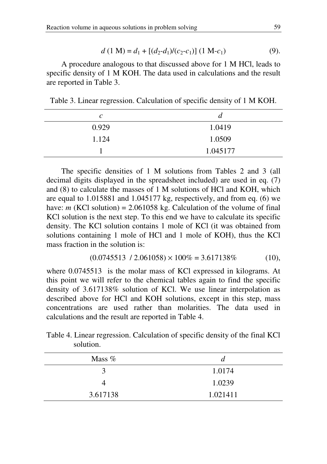$$
d (1 M) = d_1 + [(d_2-d_1)/(c_2-c_1)] (1 M-c_1)
$$
 (9).

A procedure analogous to that discussed above for 1 M HCl, leads to specific density of 1 M KOH. The data used in calculations and the result are reported in Table 3.

Table 3. Linear regression. Calculation of specific density of 1 M KOH.

| $\mathcal{C}$ | d        |
|---------------|----------|
| 0.929         | 1.0419   |
| 1.124         | 1.0509   |
|               | 1.045177 |

The specific densities of 1 M solutions from Tables 2 and 3 (all decimal digits displayed in the spreadsheet included) are used in eq. (7) and (8) to calculate the masses of 1 M solutions of HCl and KOH, which are equal to 1.015881 and 1.045177 kg, respectively, and from eq. (6) we have: *m* (KCl solution) = 2.061058 kg. Calculation of the volume of final KCl solution is the next step. To this end we have to calculate its specific density. The KCl solution contains 1 mole of KCl (it was obtained from solutions containing 1 mole of HCl and 1 mole of KOH), thus the KCl mass fraction in the solution is:

$$
(0.0745513 \t/2.061058) \times 100\% = 3.617138\% \t(10),
$$

where 0.0745513 is the molar mass of KCl expressed in kilograms. At this point we will refer to the chemical tables again to find the specific density of 3.617138% solution of KCl. We use linear interpolation as described above for HCl and KOH solutions, except in this step, mass concentrations are used rather than molarities. The data used in calculations and the result are reported in Table 4.

Table 4. Linear regression. Calculation of specific density of the final KCl solution.

| Mass $%$ | a        |
|----------|----------|
| 3        | 1.0174   |
|          | 1.0239   |
| 3.617138 | 1.021411 |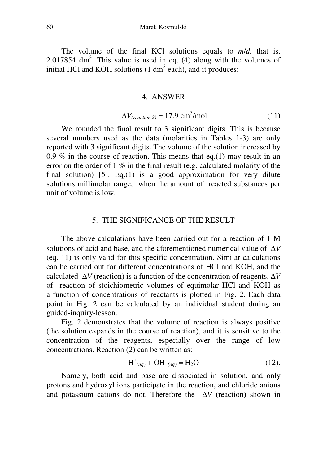The volume of the final KCl solutions equals to *m*/*d,* that is, 2.017854 dm<sup>3</sup>. This value is used in eq. (4) along with the volumes of initial HCl and KOH solutions  $(1 \text{ dm}^3 \text{ each})$ , and it produces:

#### 4. ANSWER

$$
\Delta V_{(reaction\,2)} = 17.9 \text{ cm}^3/\text{mol} \tag{11}
$$

We rounded the final result to 3 significant digits. This is because several numbers used as the data (molarities in Tables 1-3) are only reported with 3 significant digits. The volume of the solution increased by 0.9 % in the course of reaction. This means that eq.(1) may result in an error on the order of 1 % in the final result (e.g. calculated molarity of the final solution) [5]. Eq.(1) is a good approximation for very dilute solutions millimolar range, when the amount of reacted substances per unit of volume is low.

#### 5. THE SIGNIFICANCE OF THE RESULT

The above calculations have been carried out for a reaction of 1 M solutions of acid and base, and the aforementioned numerical value of ∆*V* (eq. 11) is only valid for this specific concentration. Similar calculations can be carried out for different concentrations of HCl and KOH, and the calculated ∆*V* (reaction) is a function of the concentration of reagents. ∆*V* of reaction of stoichiometric volumes of equimolar HCl and KOH as a function of concentrations of reactants is plotted in Fig. 2. Each data point in Fig. 2 can be calculated by an individual student during an guided-inquiry-lesson.

Fig. 2 demonstrates that the volume of reaction is always positive (the solution expands in the course of reaction), and it is sensitive to the concentration of the reagents, especially over the range of low concentrations. Reaction (2) can be written as:

$$
H^+_{(aq)} + OH^-_{(aq)} = H_2O \tag{12}
$$

Namely, both acid and base are dissociated in solution, and only protons and hydroxyl ions participate in the reaction, and chloride anions and potassium cations do not. Therefore the ∆*V* (reaction) shown in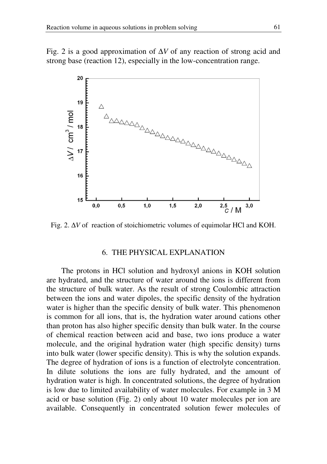Fig. 2 is a good approximation of ∆*V* of any reaction of strong acid and strong base (reaction 12), especially in the low-concentration range.



Fig. 2. ∆*V* of reaction of stoichiometric volumes of equimolar HCl and KOH.

#### 6. THE PHYSICAL EXPLANATION

The protons in HCl solution and hydroxyl anions in KOH solution are hydrated, and the structure of water around the ions is different from the structure of bulk water. As the result of strong Coulombic attraction between the ions and water dipoles, the specific density of the hydration water is higher than the specific density of bulk water. This phenomenon is common for all ions, that is, the hydration water around cations other than proton has also higher specific density than bulk water. In the course of chemical reaction between acid and base, two ions produce a water molecule, and the original hydration water (high specific density) turns into bulk water (lower specific density). This is why the solution expands. The degree of hydration of ions is a function of electrolyte concentration. In dilute solutions the ions are fully hydrated, and the amount of hydration water is high. In concentrated solutions, the degree of hydration is low due to limited availability of water molecules. For example in 3 M acid or base solution (Fig. 2) only about 10 water molecules per ion are available. Consequently in concentrated solution fewer molecules of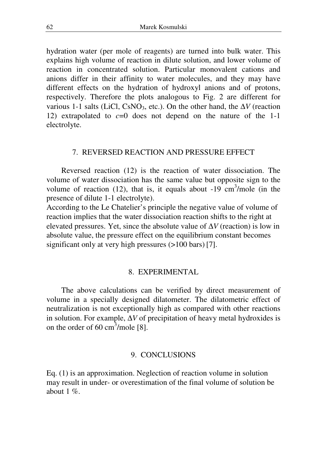hydration water (per mole of reagents) are turned into bulk water. This explains high volume of reaction in dilute solution, and lower volume of reaction in concentrated solution. Particular monovalent cations and anions differ in their affinity to water molecules, and they may have different effects on the hydration of hydroxyl anions and of protons, respectively. Therefore the plots analogous to Fig. 2 are different for various 1-1 salts (LiCl, CsNO3, etc.). On the other hand, the ∆*V* (reaction 12) extrapolated to *c*=0 does not depend on the nature of the 1-1 electrolyte.

## 7. REVERSED REACTION AND PRESSURE EFFECT

Reversed reaction (12) is the reaction of water dissociation. The volume of water dissociation has the same value but opposite sign to the volume of reaction (12), that is, it equals about  $-19 \text{ cm}^3/\text{mole}$  (in the presence of dilute 1-1 electrolyte).

According to the Le Chatelier's principle the negative value of volume of reaction implies that the water dissociation reaction shifts to the right at elevated pressures. Yet, since the absolute value of ∆*V* (reaction) is low in absolute value, the pressure effect on the equilibrium constant becomes significant only at very high pressures  $(>100 \text{ bars})$  [7].

#### 8. EXPERIMENTAL

The above calculations can be verified by direct measurement of volume in a specially designed dilatometer. The dilatometric effect of neutralization is not exceptionally high as compared with other reactions in solution. For example, ∆*V* of precipitation of heavy metal hydroxides is on the order of 60 cm<sup>3</sup>/mole  $[8]$ .

#### 9. CONCLUSIONS

Eq. (1) is an approximation. Neglection of reaction volume in solution may result in under- or overestimation of the final volume of solution be about 1  $\%$ .